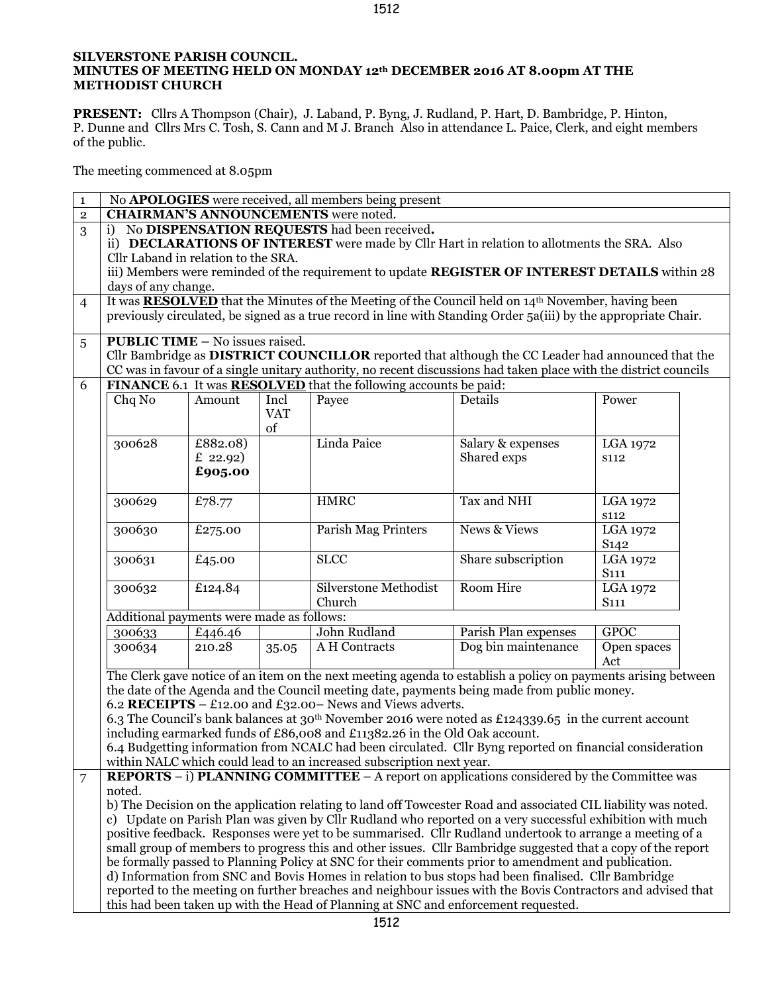## **SILVERSTONE PARISH COUNCIL. MINUTES OF MEETING HELD ON MONDAY 12th DECEMBER 2016 AT 8.00pm AT THE METHODIST CHURCH**

**PRESENT:** Cllrs A Thompson (Chair), J. Laband, P. Byng, J. Rudland, P. Hart, D. Bambridge, P. Hinton, P. Dunne and Cllrs Mrs C. Tosh, S. Cann and M J. Branch Also in attendance L. Paice, Clerk, and eight members of the public.

The meeting commenced at 8.05pm

| $\mathbf{1}$   | No <b>APOLOGIES</b> were received, all members being present                                                                                                                                |                                           |            |                                                                                                                      |                         |                                     |  |  |
|----------------|---------------------------------------------------------------------------------------------------------------------------------------------------------------------------------------------|-------------------------------------------|------------|----------------------------------------------------------------------------------------------------------------------|-------------------------|-------------------------------------|--|--|
| $\overline{2}$ | <b>CHAIRMAN'S ANNOUNCEMENTS</b> were noted.                                                                                                                                                 |                                           |            |                                                                                                                      |                         |                                     |  |  |
| 3              | No DISPENSATION REQUESTS had been received.<br>i)                                                                                                                                           |                                           |            |                                                                                                                      |                         |                                     |  |  |
|                | ii) DECLARATIONS OF INTEREST were made by Cllr Hart in relation to allotments the SRA. Also                                                                                                 |                                           |            |                                                                                                                      |                         |                                     |  |  |
|                | Cllr Laband in relation to the SRA.                                                                                                                                                         |                                           |            |                                                                                                                      |                         |                                     |  |  |
|                | iii) Members were reminded of the requirement to update REGISTER OF INTEREST DETAILS within 28                                                                                              |                                           |            |                                                                                                                      |                         |                                     |  |  |
|                | days of any change.                                                                                                                                                                         |                                           |            |                                                                                                                      |                         |                                     |  |  |
| $\overline{4}$ |                                                                                                                                                                                             |                                           |            | It was <b>RESOLVED</b> that the Minutes of the Meeting of the Council held on 14 <sup>th</sup> November, having been |                         |                                     |  |  |
|                |                                                                                                                                                                                             |                                           |            | previously circulated, be signed as a true record in line with Standing Order 5a(iii) by the appropriate Chair.      |                         |                                     |  |  |
|                |                                                                                                                                                                                             |                                           |            |                                                                                                                      |                         |                                     |  |  |
| 5              | <b>PUBLIC TIME - No issues raised.</b>                                                                                                                                                      |                                           |            |                                                                                                                      |                         |                                     |  |  |
|                |                                                                                                                                                                                             |                                           |            | Cllr Bambridge as DISTRICT COUNCILLOR reported that although the CC Leader had announced that the                    |                         |                                     |  |  |
|                | CC was in favour of a single unitary authority, no recent discussions had taken place with the district councils<br>FINANCE 6.1 It was <b>RESOLVED</b> that the following accounts be paid: |                                           |            |                                                                                                                      |                         |                                     |  |  |
| 6              |                                                                                                                                                                                             |                                           |            |                                                                                                                      |                         |                                     |  |  |
|                | Chq No                                                                                                                                                                                      | Amount                                    | Incl       | Payee                                                                                                                | Details                 | Power                               |  |  |
|                |                                                                                                                                                                                             |                                           | <b>VAT</b> |                                                                                                                      |                         |                                     |  |  |
|                |                                                                                                                                                                                             |                                           | of         |                                                                                                                      |                         |                                     |  |  |
|                | 300628                                                                                                                                                                                      | £882.08)                                  |            | Linda Paice                                                                                                          | Salary & expenses       | LGA 1972                            |  |  |
|                |                                                                                                                                                                                             | £ 22.92)                                  |            |                                                                                                                      | Shared exps             | s112                                |  |  |
|                |                                                                                                                                                                                             | £905.00                                   |            |                                                                                                                      |                         |                                     |  |  |
|                |                                                                                                                                                                                             |                                           |            |                                                                                                                      | Tax and NHI             |                                     |  |  |
|                | 300629                                                                                                                                                                                      | £78.77                                    |            | <b>HMRC</b>                                                                                                          |                         | LGA 1972                            |  |  |
|                |                                                                                                                                                                                             |                                           |            | <b>Parish Mag Printers</b>                                                                                           | <b>News &amp; Views</b> | <b>S112</b>                         |  |  |
|                | 300630                                                                                                                                                                                      | £275.00                                   |            |                                                                                                                      |                         | LGA 1972                            |  |  |
|                |                                                                                                                                                                                             |                                           |            | <b>SLCC</b>                                                                                                          | Share subscription      | S <sub>142</sub><br><b>LGA 1972</b> |  |  |
|                | 300631                                                                                                                                                                                      | £45.00                                    |            |                                                                                                                      |                         | S <sub>111</sub>                    |  |  |
|                | 300632                                                                                                                                                                                      | £124.84                                   |            | Silverstone Methodist                                                                                                | Room Hire               | LGA 1972                            |  |  |
|                |                                                                                                                                                                                             |                                           |            | Church                                                                                                               |                         | S <sub>111</sub>                    |  |  |
|                |                                                                                                                                                                                             | Additional payments were made as follows: |            |                                                                                                                      |                         |                                     |  |  |
|                | 300633                                                                                                                                                                                      | £446.46                                   |            | John Rudland                                                                                                         | Parish Plan expenses    | <b>GPOC</b>                         |  |  |
|                | 300634                                                                                                                                                                                      | 210.28                                    | 35.05      | A H Contracts                                                                                                        | Dog bin maintenance     | Open spaces                         |  |  |
|                |                                                                                                                                                                                             |                                           |            |                                                                                                                      |                         | Act                                 |  |  |
|                |                                                                                                                                                                                             |                                           |            | The Clerk gave notice of an item on the next meeting agenda to establish a policy on payments arising between        |                         |                                     |  |  |
|                |                                                                                                                                                                                             |                                           |            | the date of the Agenda and the Council meeting date, payments being made from public money.                          |                         |                                     |  |  |
|                |                                                                                                                                                                                             |                                           |            | 6.2 RECEIPTS - £12.00 and £32.00 - News and Views adverts.                                                           |                         |                                     |  |  |
|                |                                                                                                                                                                                             |                                           |            | 6.3 The Council's bank balances at 30 <sup>th</sup> November 2016 were noted as £124339.65 in the current account    |                         |                                     |  |  |
|                |                                                                                                                                                                                             |                                           |            | including earmarked funds of £86,008 and £11382.26 in the Old Oak account.                                           |                         |                                     |  |  |
|                | 6.4 Budgetting information from NCALC had been circulated. Cllr Byng reported on financial consideration                                                                                    |                                           |            |                                                                                                                      |                         |                                     |  |  |
|                |                                                                                                                                                                                             |                                           |            | within NALC which could lead to an increased subscription next year.                                                 |                         |                                     |  |  |
| 7              | <b>REPORTS</b> $-$ i) <b>PLANNING COMMITTEE</b> $-$ A report on applications considered by the Committee was                                                                                |                                           |            |                                                                                                                      |                         |                                     |  |  |
|                | noted.                                                                                                                                                                                      |                                           |            |                                                                                                                      |                         |                                     |  |  |
|                | b) The Decision on the application relating to land off Towcester Road and associated CIL liability was noted.                                                                              |                                           |            |                                                                                                                      |                         |                                     |  |  |
|                | c) Update on Parish Plan was given by Cllr Rudland who reported on a very successful exhibition with much                                                                                   |                                           |            |                                                                                                                      |                         |                                     |  |  |
|                | positive feedback. Responses were yet to be summarised. Cllr Rudland undertook to arrange a meeting of a                                                                                    |                                           |            |                                                                                                                      |                         |                                     |  |  |
|                | small group of members to progress this and other issues. Cllr Bambridge suggested that a copy of the report                                                                                |                                           |            |                                                                                                                      |                         |                                     |  |  |
|                | be formally passed to Planning Policy at SNC for their comments prior to amendment and publication.                                                                                         |                                           |            |                                                                                                                      |                         |                                     |  |  |
|                |                                                                                                                                                                                             |                                           |            | d) Information from SNC and Bovis Homes in relation to bus stops had been finalised. Cllr Bambridge                  |                         |                                     |  |  |
|                | reported to the meeting on further breaches and neighbour issues with the Bovis Contractors and advised that                                                                                |                                           |            |                                                                                                                      |                         |                                     |  |  |
|                |                                                                                                                                                                                             |                                           |            | this had been taken up with the Head of Planning at SNC and enforcement requested.                                   |                         |                                     |  |  |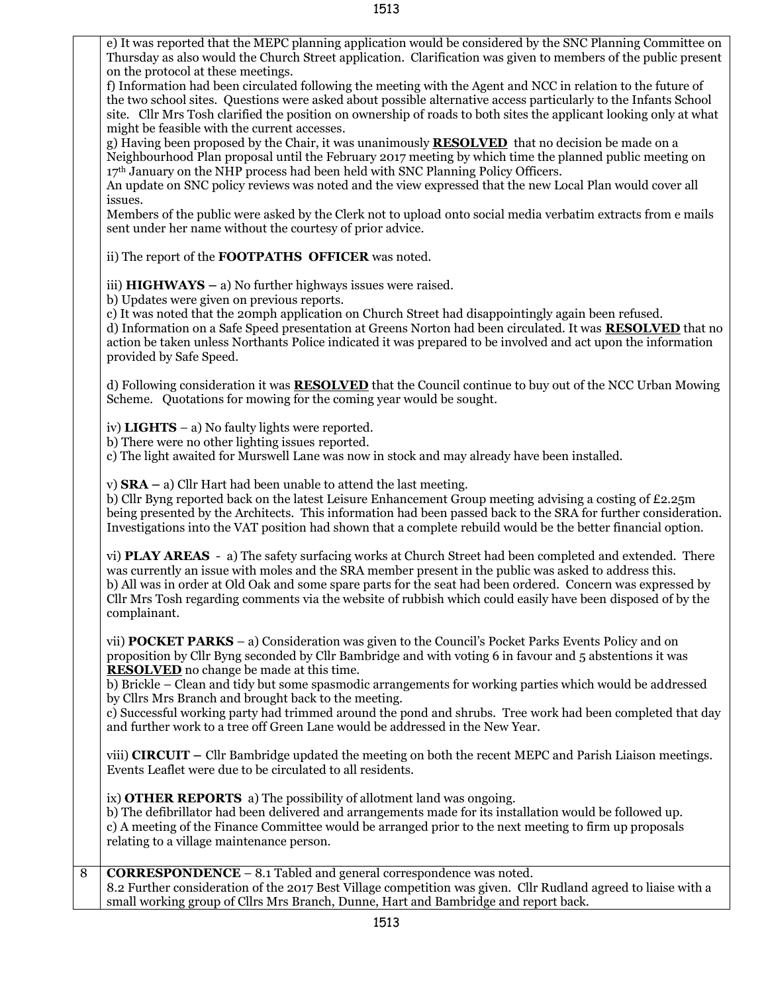e) It was reported that the MEPC planning application would be considered by the SNC Planning Committee on Thursday as also would the Church Street application. Clarification was given to members of the public present on the protocol at these meetings.

f) Information had been circulated following the meeting with the Agent and NCC in relation to the future of the two school sites. Questions were asked about possible alternative access particularly to the Infants School site. Cllr Mrs Tosh clarified the position on ownership of roads to both sites the applicant looking only at what might be feasible with the current accesses.

g) Having been proposed by the Chair, it was unanimously **RESOLVED** that no decision be made on a Neighbourhood Plan proposal until the February 2017 meeting by which time the planned public meeting on 17th January on the NHP process had been held with SNC Planning Policy Officers.

An update on SNC policy reviews was noted and the view expressed that the new Local Plan would cover all issues.

Members of the public were asked by the Clerk not to upload onto social media verbatim extracts from e mails sent under her name without the courtesy of prior advice.

ii) The report of the **FOOTPATHS OFFICER** was noted.

iii) **HIGHWAYS –** a) No further highways issues were raised.

b) Updates were given on previous reports.

c) It was noted that the 20mph application on Church Street had disappointingly again been refused.

d) Information on a Safe Speed presentation at Greens Norton had been circulated. It was **RESOLVED** that no action be taken unless Northants Police indicated it was prepared to be involved and act upon the information provided by Safe Speed.

d) Following consideration it was **RESOLVED** that the Council continue to buy out of the NCC Urban Mowing Scheme. Quotations for mowing for the coming year would be sought.

iv) **LIGHTS** – a) No faulty lights were reported.

b) There were no other lighting issues reported.

c) The light awaited for Murswell Lane was now in stock and may already have been installed.

v) **SRA –** a) Cllr Hart had been unable to attend the last meeting.

b) Cllr Byng reported back on the latest Leisure Enhancement Group meeting advising a costing of £2.25m being presented by the Architects. This information had been passed back to the SRA for further consideration. Investigations into the VAT position had shown that a complete rebuild would be the better financial option.

vi) **PLAY AREAS** - a) The safety surfacing works at Church Street had been completed and extended. There was currently an issue with moles and the SRA member present in the public was asked to address this. b) All was in order at Old Oak and some spare parts for the seat had been ordered. Concern was expressed by Cllr Mrs Tosh regarding comments via the website of rubbish which could easily have been disposed of by the complainant.

vii) **POCKET PARKS** – a) Consideration was given to the Council's Pocket Parks Events Policy and on proposition by Cllr Byng seconded by Cllr Bambridge and with voting 6 in favour and 5 abstentions it was **RESOLVED** no change be made at this time.

b) Brickle – Clean and tidy but some spasmodic arrangements for working parties which would be addressed by Cllrs Mrs Branch and brought back to the meeting.

c) Successful working party had trimmed around the pond and shrubs. Tree work had been completed that day and further work to a tree off Green Lane would be addressed in the New Year.

viii) **CIRCUIT –** Cllr Bambridge updated the meeting on both the recent MEPC and Parish Liaison meetings. Events Leaflet were due to be circulated to all residents.

ix) **OTHER REPORTS** a) The possibility of allotment land was ongoing.

b) The defibrillator had been delivered and arrangements made for its installation would be followed up. c) A meeting of the Finance Committee would be arranged prior to the next meeting to firm up proposals relating to a village maintenance person.

8 **CORRESPONDENCE** – 8.1 Tabled and general correspondence was noted. 8.2 Further consideration of the 2017 Best Village competition was given. Cllr Rudland agreed to liaise with a small working group of Cllrs Mrs Branch, Dunne, Hart and Bambridge and report back.